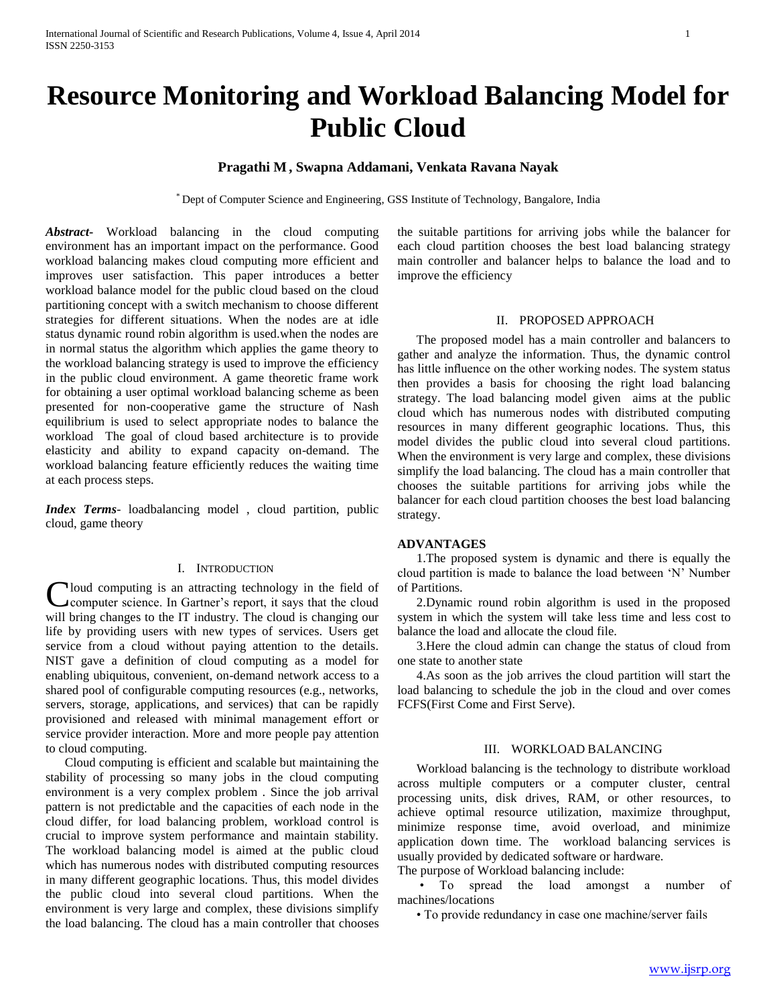# **Resource Monitoring and Workload Balancing Model for Public Cloud**

# **Pragathi M , Swapna Addamani, Venkata Ravana Nayak**

\* Dept of Computer Science and Engineering, GSS Institute of Technology, Bangalore, India

*Abstract***-** Workload balancing in the cloud computing environment has an important impact on the performance. Good workload balancing makes cloud computing more efficient and improves user satisfaction. This paper introduces a better workload balance model for the public cloud based on the cloud partitioning concept with a switch mechanism to choose different strategies for different situations. When the nodes are at idle status dynamic round robin algorithm is used.when the nodes are in normal status the algorithm which applies the game theory to the workload balancing strategy is used to improve the efficiency in the public cloud environment. A game theoretic frame work for obtaining a user optimal workload balancing scheme as been presented for non-cooperative game the structure of Nash equilibrium is used to select appropriate nodes to balance the workload The goal of cloud based architecture is to provide elasticity and ability to expand capacity on-demand. The workload balancing feature efficiently reduces the waiting time at each process steps.

*Index Terms*- loadbalancing model , cloud partition, public cloud, game theory

#### I. INTRODUCTION

Cloud computing is an attracting technology in the field of computer science. In Gartner's report, it says that the cloud computer science. In Gartner's report, it says that the cloud will bring changes to the IT industry. The cloud is changing our life by providing users with new types of services. Users get service from a cloud without paying attention to the details. NIST gave a definition of cloud computing as a model for enabling ubiquitous, convenient, on-demand network access to a shared pool of configurable computing resources (e.g., networks, servers, storage, applications, and services) that can be rapidly provisioned and released with minimal management effort or service provider interaction. More and more people pay attention to cloud computing.

 Cloud computing is efficient and scalable but maintaining the stability of processing so many jobs in the cloud computing environment is a very complex problem . Since the job arrival pattern is not predictable and the capacities of each node in the cloud differ, for load balancing problem, workload control is crucial to improve system performance and maintain stability. The workload balancing model is aimed at the public cloud which has numerous nodes with distributed computing resources in many different geographic locations. Thus, this model divides the public cloud into several cloud partitions. When the environment is very large and complex, these divisions simplify the load balancing. The cloud has a main controller that chooses the suitable partitions for arriving jobs while the balancer for each cloud partition chooses the best load balancing strategy main controller and balancer helps to balance the load and to improve the efficiency

## II. PROPOSED APPROACH

 The proposed model has a main controller and balancers to gather and analyze the information. Thus, the dynamic control has little influence on the other working nodes. The system status then provides a basis for choosing the right load balancing strategy. The load balancing model given aims at the public cloud which has numerous nodes with distributed computing resources in many different geographic locations. Thus, this model divides the public cloud into several cloud partitions. When the environment is very large and complex, these divisions simplify the load balancing. The cloud has a main controller that chooses the suitable partitions for arriving jobs while the balancer for each cloud partition chooses the best load balancing strategy.

## **ADVANTAGES**

 1.The proposed system is dynamic and there is equally the cloud partition is made to balance the load between 'N' Number of Partitions.

 2.Dynamic round robin algorithm is used in the proposed system in which the system will take less time and less cost to balance the load and allocate the cloud file.

 3.Here the cloud admin can change the status of cloud from one state to another state

 4.As soon as the job arrives the cloud partition will start the load balancing to schedule the job in the cloud and over comes FCFS(First Come and First Serve).

## III. WORKLOAD BALANCING

 Workload balancing is the technology to distribute workload across multiple computers or a computer cluster, central processing units, disk drives, RAM, or other resources, to achieve optimal resource utilization, maximize throughput, minimize response time, avoid overload, and minimize application down time. The workload balancing services is usually provided by dedicated software or hardware. The purpose of Workload balancing include:

 • To spread the load amongst a number of machines/locations

• To provide redundancy in case one machine/server fails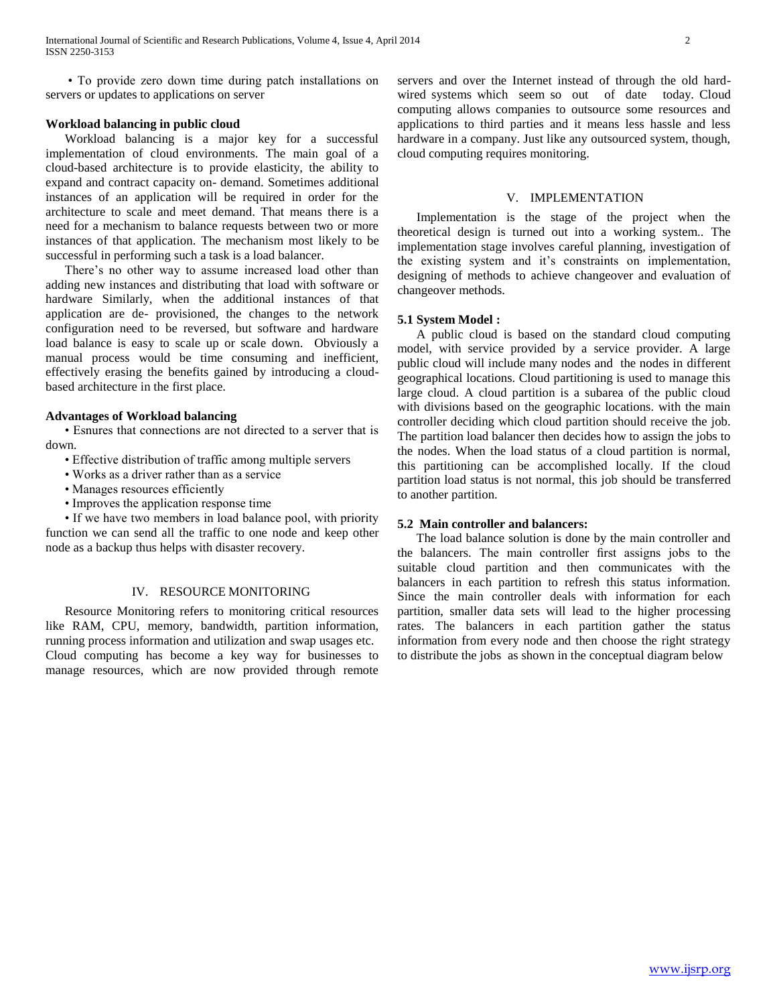• To provide zero down time during patch installations on servers or updates to applications on server

### **Workload balancing in public cloud**

 Workload balancing is a major key for a successful implementation of cloud environments. The main goal of a cloud-based architecture is to provide elasticity, the ability to expand and contract capacity on- demand. Sometimes additional instances of an application will be required in order for the architecture to scale and meet demand. That means there is a need for a mechanism to balance requests between two or more instances of that application. The mechanism most likely to be successful in performing such a task is a load balancer.

 There's no other way to assume increased load other than adding new instances and distributing that load with software or hardware Similarly, when the additional instances of that application are de- provisioned, the changes to the network configuration need to be reversed, but software and hardware load balance is easy to scale up or scale down. Obviously a manual process would be time consuming and inefficient, effectively erasing the benefits gained by introducing a cloudbased architecture in the first place.

#### **Advantages of Workload balancing**

 • Esnures that connections are not directed to a server that is down.

- Effective distribution of traffic among multiple servers
- Works as a driver rather than as a service
- Manages resources efficiently
- Improves the application response time

 • If we have two members in load balance pool, with priority function we can send all the traffic to one node and keep other node as a backup thus helps with disaster recovery.

#### IV. RESOURCE MONITORING

 Resource Monitoring refers to monitoring critical resources like RAM, CPU, memory, bandwidth, partition information, running process information and utilization and swap usages etc. Cloud computing has become a key way for businesses to manage resources, which are now provided through remote servers and over the Internet instead of through the old hardwired systems which seem so out of date today. Cloud computing allows companies to outsource some resources and applications to third parties and it means less hassle and less hardware in a company. Just like any outsourced system, though, cloud computing requires monitoring.

#### V. IMPLEMENTATION

 Implementation is the stage of the project when the theoretical design is turned out into a working system.. The implementation stage involves careful planning, investigation of the existing system and it's constraints on implementation, designing of methods to achieve changeover and evaluation of changeover methods.

#### **5.1 System Model :**

 A public cloud is based on the standard cloud computing model, with service provided by a service provider. A large public cloud will include many nodes and the nodes in different geographical locations. Cloud partitioning is used to manage this large cloud. A cloud partition is a subarea of the public cloud with divisions based on the geographic locations. with the main controller deciding which cloud partition should receive the job. The partition load balancer then decides how to assign the jobs to the nodes. When the load status of a cloud partition is normal, this partitioning can be accomplished locally. If the cloud partition load status is not normal, this job should be transferred to another partition.

## **5.2 Main controller and balancers:**

 The load balance solution is done by the main controller and the balancers. The main controller first assigns jobs to the suitable cloud partition and then communicates with the balancers in each partition to refresh this status information. Since the main controller deals with information for each partition, smaller data sets will lead to the higher processing rates. The balancers in each partition gather the status information from every node and then choose the right strategy to distribute the jobs as shown in the conceptual diagram below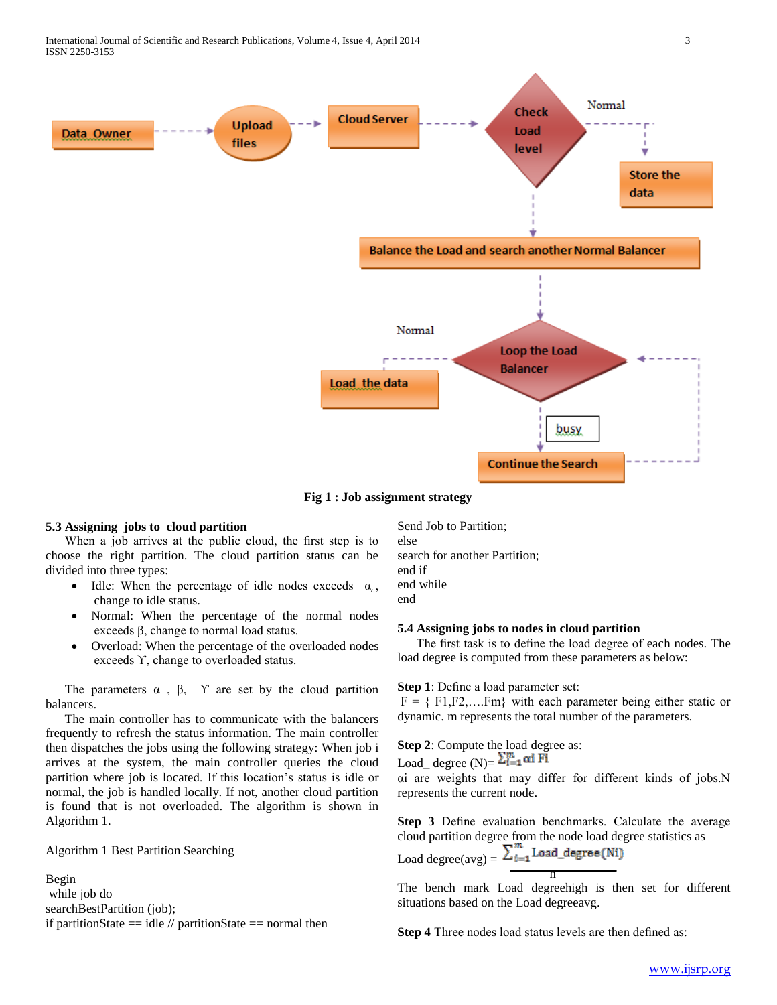

**Fig 1 : Job assignment strategy**

#### **5.3 Assigning jobs to cloud partition**

 When a job arrives at the public cloud, the first step is to choose the right partition. The cloud partition status can be divided into three types:

- Idle: When the percentage of idle nodes exceeds  $\alpha_{\rm c}$ , change to idle status.
- Normal: When the percentage of the normal nodes exceeds β, change to normal load status.
- Overload: When the percentage of the overloaded nodes exceeds ϒ, change to overloaded status.

The parameters  $\alpha$ ,  $\beta$ ,  $\gamma$  are set by the cloud partition balancers.

 The main controller has to communicate with the balancers frequently to refresh the status information. The main controller then dispatches the jobs using the following strategy: When job i arrives at the system, the main controller queries the cloud partition where job is located. If this location's status is idle or normal, the job is handled locally. If not, another cloud partition is found that is not overloaded. The algorithm is shown in Algorithm 1.

Algorithm 1 Best Partition Searching

Begin while job do searchBestPartition (job); if partitionState  $==$  idle  $//$  partitionState  $==$  normal then Send Job to Partition; else search for another Partition; end if end while end

#### **5.4 Assigning jobs to nodes in cloud partition**

 The first task is to define the load degree of each nodes. The load degree is computed from these parameters as below:

**Step 1**: Define a load parameter set:

<u>n</u>

 $F = \{ F1, F2, \dots, Fm \}$  with each parameter being either static or dynamic. m represents the total number of the parameters.

**Step 2**: Compute the load degree as: Load\_ degree  $(N)=\sum_{i=1}^{m} \alpha i$  Fi αi are weights that may differ for different kinds of jobs.N represents the current node.

**Step 3** Define evaluation benchmarks. Calculate the average cloud partition degree from the node load degree statistics as Load degree $(avg) =$ 

The bench mark Load degreehigh is then set for different situations based on the Load degreeavg.

**Step 4** Three nodes load status levels are then defined as: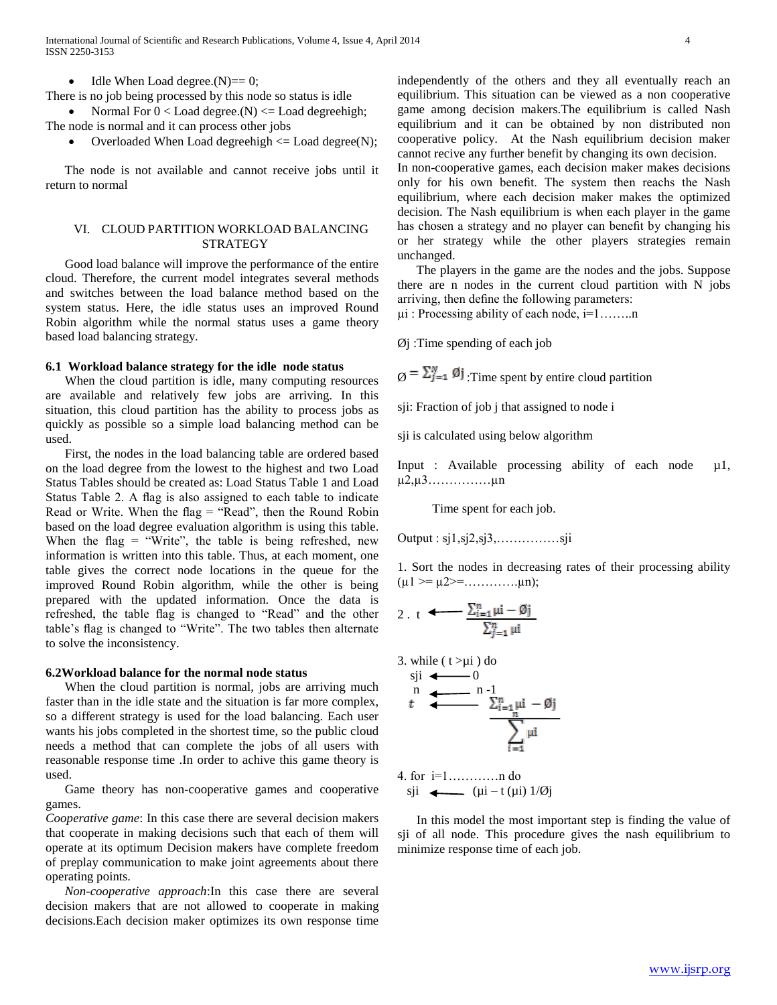$\bullet$  Idle When Load degree.(N)== 0;

There is no job being processed by this node so status is idle

• Normal For  $0 <$  Load degree.(N)  $\le$  Load degree high; The node is normal and it can process other jobs

• Overloaded When Load degreehigh  $\leq$  Load degree(N);

 The node is not available and cannot receive jobs until it return to normal

## VI. CLOUD PARTITION WORKLOAD BALANCING STRATEGY

 Good load balance will improve the performance of the entire cloud. Therefore, the current model integrates several methods and switches between the load balance method based on the system status. Here, the idle status uses an improved Round Robin algorithm while the normal status uses a game theory based load balancing strategy.

#### **6.1 Workload balance strategy for the idle node status**

 When the cloud partition is idle, many computing resources are available and relatively few jobs are arriving. In this situation, this cloud partition has the ability to process jobs as quickly as possible so a simple load balancing method can be used.

 First, the nodes in the load balancing table are ordered based on the load degree from the lowest to the highest and two Load Status Tables should be created as: Load Status Table 1 and Load Status Table 2. A flag is also assigned to each table to indicate Read or Write. When the flag  $=$  "Read", then the Round Robin based on the load degree evaluation algorithm is using this table. When the flag  $=$  "Write", the table is being refreshed, new information is written into this table. Thus, at each moment, one table gives the correct node locations in the queue for the improved Round Robin algorithm, while the other is being prepared with the updated information. Once the data is refreshed, the table flag is changed to "Read" and the other table's flag is changed to "Write". The two tables then alternate to solve the inconsistency.

#### **6.2Workload balance for the normal node status**

When the cloud partition is normal, jobs are arriving much faster than in the idle state and the situation is far more complex, so a different strategy is used for the load balancing. Each user wants his jobs completed in the shortest time, so the public cloud needs a method that can complete the jobs of all users with reasonable response time .In order to achive this game theory is used.

 Game theory has non-cooperative games and cooperative games.

*Cooperative game*: In this case there are several decision makers that cooperate in making decisions such that each of them will operate at its optimum Decision makers have complete freedom of preplay communication to make joint agreements about there operating points.

 *Non-cooperative approach*:In this case there are several decision makers that are not allowed to cooperate in making decisions.Each decision maker optimizes its own response time independently of the others and they all eventually reach an equilibrium. This situation can be viewed as a non cooperative game among decision makers.The equilibrium is called Nash equilibrium and it can be obtained by non distributed non cooperative policy. At the Nash equilibrium decision maker cannot recive any further benefit by changing its own decision.

In non-cooperative games, each decision maker makes decisions only for his own benefit. The system then reachs the Nash equilibrium, where each decision maker makes the optimized decision. The Nash equilibrium is when each player in the game has chosen a strategy and no player can benefit by changing his or her strategy while the other players strategies remain unchanged.

 The players in the game are the nodes and the jobs. Suppose there are n nodes in the current cloud partition with N jobs arriving, then define the following parameters:

µi : Processing ability of each node, i=1……..n

 $\varnothing$ j: Time spending of each job

 $\mathbf{Q} = \sum_{j=1}^{N} \mathbf{Q} \mathbf{j}$ : Time spent by entire cloud partition

sji: Fraction of job j that assigned to node i

sji is calculated using below algorithm

Input : Available processing ability of each node  $\mu$ 1, µ2,µ3……………µn

Time spent for each job.

Output : sj1,sj2,sj3,……………sji

1. Sort the nodes in decreasing rates of their processing ability  $(\mu 1 \geq \mu 2 \geq \dots \dots \dots \dots \mu n);$ 

2. t 
$$
\xrightarrow{\sum_{i=1}^{n} \mu i - \emptyset j}
$$

$$
\frac{\sum_{i=1}^{n} \mu i - \emptyset j}{\sum_{i=1}^{n} \mu i}
$$

3. while 
$$
(t > \mu i)
$$
 do  
sii  $(t > \mu i)$ 

$$
t \sum_{i=1}^{n} \frac{1}{\sum_{i=1}^{n} \mu i - \emptyset j}
$$

4. for i=1…………n do  $si$   $(i - t (ui) 1/\emptyset i)$ 

 In this model the most important step is finding the value of sji of all node. This procedure gives the nash equilibrium to minimize response time of each job.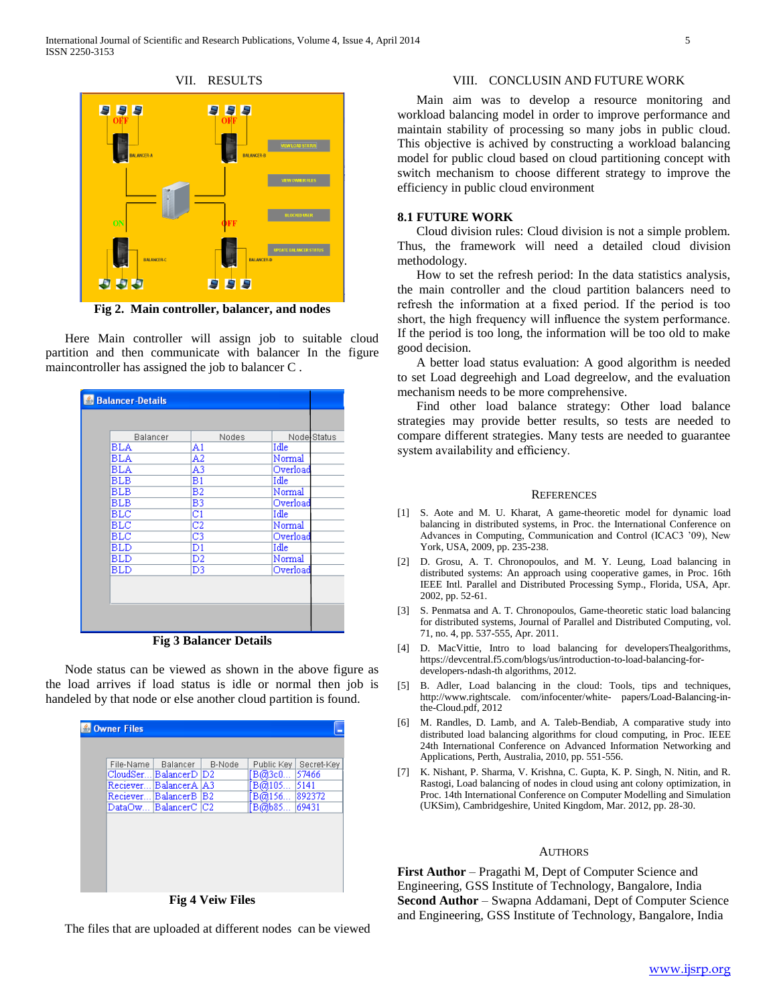

**Fig 2. Main controller, balancer, and nodes**

 Here Main controller will assign job to suitable cloud partition and then communicate with balancer In the figure maincontroller has assigned the job to balancer C .

| <b>E</b> Balancer-Details                  |                |             |  |  |
|--------------------------------------------|----------------|-------------|--|--|
|                                            |                |             |  |  |
| Balancer                                   | Nodes          | Node Status |  |  |
| <b>BLA</b>                                 | A1             | Idle        |  |  |
| BLA                                        | A2             | Normal      |  |  |
| BLA                                        | A3             | Overload    |  |  |
| BLB                                        | B1             | Idle        |  |  |
| <b>BLB</b>                                 | B2             | Normal      |  |  |
| <b>BLB</b>                                 | B3             | Overload    |  |  |
| BLC                                        | $_{\rm C1}$    | Idle        |  |  |
| <b>BLC</b>                                 | $\overline{c}$ | Normal      |  |  |
| BLC                                        | C <sub>3</sub> | Overload    |  |  |
| <b>BLD</b>                                 | D1             | Idle        |  |  |
| <b>BLD</b>                                 | D2             | Normal      |  |  |
| <b>BLD</b>                                 | D3             | Overload    |  |  |
|                                            |                |             |  |  |
|                                            |                |             |  |  |
|                                            |                |             |  |  |
|                                            |                |             |  |  |
|                                            |                |             |  |  |
| T.<br>$\sim$ $\sim$ $\sim$<br><b>D</b> 1 1 |                |             |  |  |

**Fig 3 Balancer Details**

 Node status can be viewed as shown in the above figure as the load arrives if load status is idle or normal then job is handeled by that node or else another cloud partition is found.

| <b>Owner Files</b>                               |        |            |            |  |  |
|--------------------------------------------------|--------|------------|------------|--|--|
|                                                  |        |            |            |  |  |
| File-Name<br>Balancer                            | B-Node | Public Key | Secret-Key |  |  |
| $\scriptstyle\mathrm{CloudSer}$<br>BalancerD  D2 |        | B@3c0      | 57466      |  |  |
| BalancerA   A3<br>Reciever                       |        | B@105      | 5141       |  |  |
| BalancerB<br>Reciever                            | B2     | B@156      | 892372     |  |  |
| BalancerC  C2<br>DataOw…                         |        | [B@b85…    | 69431      |  |  |
|                                                  |        |            |            |  |  |
|                                                  |        |            |            |  |  |
|                                                  |        |            |            |  |  |
|                                                  |        |            |            |  |  |
|                                                  |        |            |            |  |  |
|                                                  |        |            |            |  |  |
|                                                  |        |            |            |  |  |
| m.<br><b>THEFT</b><br>$\sqrt{2}$                 |        |            |            |  |  |

**Fig 4 Veiw Files**

The files that are uploaded at different nodes can be viewed

## VIII. CONCLUSIN AND FUTURE WORK

 Main aim was to develop a resource monitoring and workload balancing model in order to improve performance and maintain stability of processing so many jobs in public cloud. This objective is achived by constructing a workload balancing model for public cloud based on cloud partitioning concept with switch mechanism to choose different strategy to improve the efficiency in public cloud environment

### **8.1 FUTURE WORK**

 Cloud division rules: Cloud division is not a simple problem. Thus, the framework will need a detailed cloud division methodology.

 How to set the refresh period: In the data statistics analysis, the main controller and the cloud partition balancers need to refresh the information at a fixed period. If the period is too short, the high frequency will influence the system performance. If the period is too long, the information will be too old to make good decision.

 A better load status evaluation: A good algorithm is needed to set Load degreehigh and Load degreelow, and the evaluation mechanism needs to be more comprehensive.

 Find other load balance strategy: Other load balance strategies may provide better results, so tests are needed to compare different strategies. Many tests are needed to guarantee system availability and efficiency.

#### **REFERENCES**

- [1] S. Aote and M. U. Kharat, A game-theoretic model for dynamic load balancing in distributed systems, in Proc. the International Conference on Advances in Computing, Communication and Control (ICAC3 '09), New York, USA, 2009, pp. 235-238.
- [2] D. Grosu, A. T. Chronopoulos, and M. Y. Leung, Load balancing in distributed systems: An approach using cooperative games, in Proc. 16th IEEE Intl. Parallel and Distributed Processing Symp., Florida, USA, Apr. 2002, pp. 52-61.
- [3] S. Penmatsa and A. T. Chronopoulos, Game-theoretic static load balancing for distributed systems, Journal of Parallel and Distributed Computing, vol. 71, no. 4, pp. 537-555, Apr. 2011.
- [4] D. MacVittie, Intro to load balancing for developersThealgorithms, https://devcentral.f5.com/blogs/us/introduction-to-load-balancing-fordevelopers-ndash-th algorithms, 2012.
- [5] B. Adler, Load balancing in the cloud: Tools, tips and techniques, http://www.rightscale. com/infocenter/white- papers/Load-Balancing-inthe-Cloud.pdf, 2012
- [6] M. Randles, D. Lamb, and A. Taleb-Bendiab, A comparative study into distributed load balancing algorithms for cloud computing, in Proc. IEEE 24th International Conference on Advanced Information Networking and Applications, Perth, Australia, 2010, pp. 551-556.
- [7] K. Nishant, P. Sharma, V. Krishna, C. Gupta, K. P. Singh, N. Nitin, and R. Rastogi, Load balancing of nodes in cloud using ant colony optimization, in Proc. 14th International Conference on Computer Modelling and Simulation (UKSim), Cambridgeshire, United Kingdom, Mar. 2012, pp. 28-30.

## AUTHORS

**First Author** – Pragathi M, Dept of Computer Science and Engineering, GSS Institute of Technology, Bangalore, India **Second Author** – Swapna Addamani, Dept of Computer Science and Engineering, GSS Institute of Technology, Bangalore, India